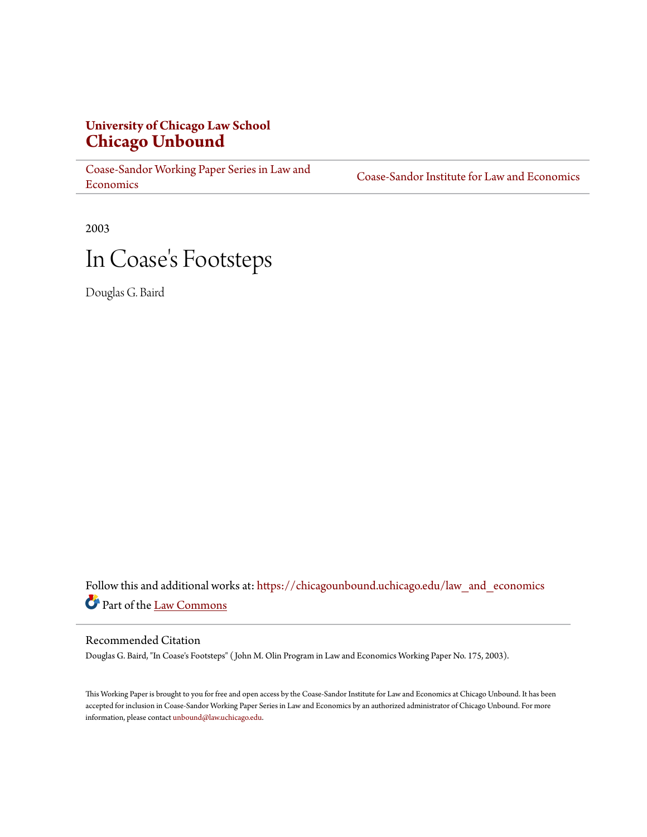# **University of Chicago Law School [Chicago Unbound](https://chicagounbound.uchicago.edu?utm_source=chicagounbound.uchicago.edu%2Flaw_and_economics%2F258&utm_medium=PDF&utm_campaign=PDFCoverPages)**

[Coase-Sandor Working Paper Series in Law and](https://chicagounbound.uchicago.edu/law_and_economics?utm_source=chicagounbound.uchicago.edu%2Flaw_and_economics%2F258&utm_medium=PDF&utm_campaign=PDFCoverPages) [Economics](https://chicagounbound.uchicago.edu/law_and_economics?utm_source=chicagounbound.uchicago.edu%2Flaw_and_economics%2F258&utm_medium=PDF&utm_campaign=PDFCoverPages)

[Coase-Sandor Institute for Law and Economics](https://chicagounbound.uchicago.edu/coase_sandor_institute?utm_source=chicagounbound.uchicago.edu%2Flaw_and_economics%2F258&utm_medium=PDF&utm_campaign=PDFCoverPages)

2003

# In Coase 's Footsteps

Douglas G. Baird

Follow this and additional works at: [https://chicagounbound.uchicago.edu/law\\_and\\_economics](https://chicagounbound.uchicago.edu/law_and_economics?utm_source=chicagounbound.uchicago.edu%2Flaw_and_economics%2F258&utm_medium=PDF&utm_campaign=PDFCoverPages) Part of the [Law Commons](http://network.bepress.com/hgg/discipline/578?utm_source=chicagounbound.uchicago.edu%2Flaw_and_economics%2F258&utm_medium=PDF&utm_campaign=PDFCoverPages)

#### Recommended Citation

Douglas G. Baird, "In Coase's Footsteps" ( John M. Olin Program in Law and Economics Working Paper No. 175, 2003).

This Working Paper is brought to you for free and open access by the Coase-Sandor Institute for Law and Economics at Chicago Unbound. It has been accepted for inclusion in Coase-Sandor Working Paper Series in Law and Economics by an authorized administrator of Chicago Unbound. For more information, please contact [unbound@law.uchicago.edu.](mailto:unbound@law.uchicago.edu)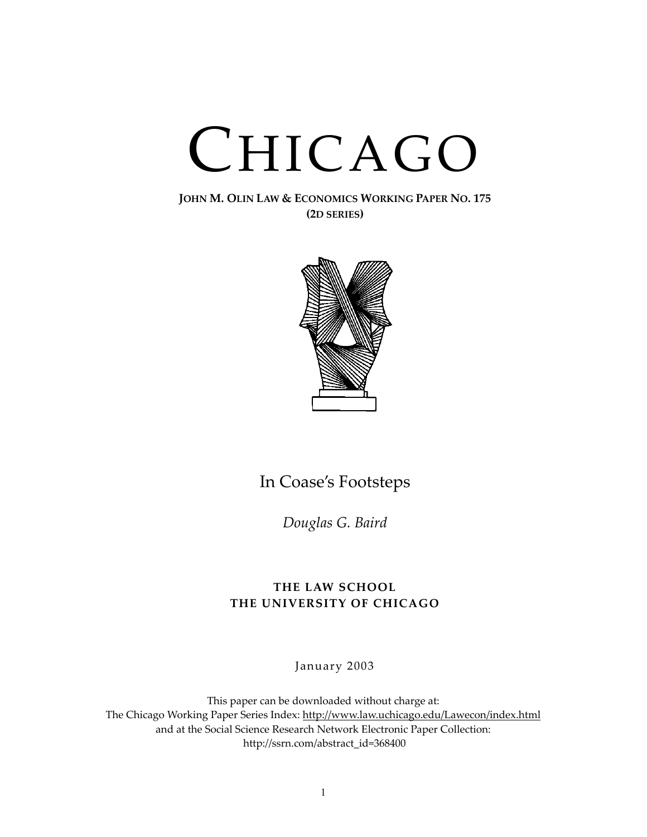# CHICAGO

**JOHN M. OLIN LAW & ECONOMICS WORKING PAPER NO. 175 (2D SERIES)**



# In Coase's Footsteps

*Douglas G. Baird*

### **THE LAW SCHOOL THE UNIVERSITY OF CHICAGO**

January 2003

This paper can be downloaded without charge at: The Chicago Working Paper Series Index: [http://www.law.uchicago.edu/Lawecon/index.html](http://www.law.uchicago.edu/Publications/Working/index.html) and at the Social Science Research Network Electronic Paper Collection: [http://ssrn.com/abstract\\_id=](http://papers.ssrn.com/sol3/search.taf)368400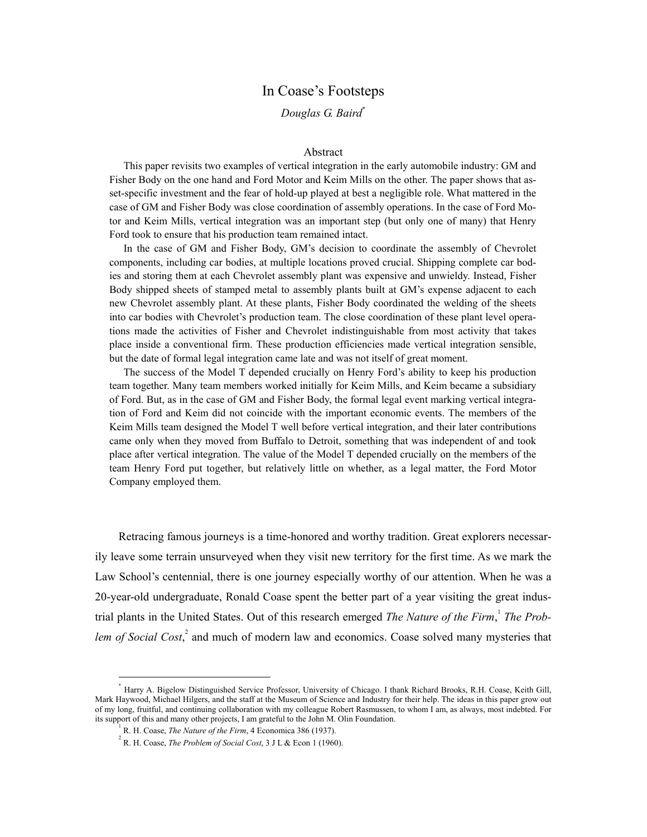## In Coase's Footsteps

#### *Douglas G. Baird*[∗](#page-2-0)

#### Abstract

This paper revisits two examples of vertical integration in the early automobile industry: GM and Fisher Body on the one hand and Ford Motor and Keim Mills on the other. The paper shows that asset-specific investment and the fear of hold-up played at best a negligible role. What mattered in the case of GM and Fisher Body was close coordination of assembly operations. In the case of Ford Motor and Keim Mills, vertical integration was an important step (but only one of many) that Henry Ford took to ensure that his production team remained intact.

In the case of GM and Fisher Body, GM's decision to coordinate the assembly of Chevrolet components, including car bodies, at multiple locations proved crucial. Shipping complete car bodies and storing them at each Chevrolet assembly plant was expensive and unwieldy. Instead, Fisher Body shipped sheets of stamped metal to assembly plants built at GM's expense adjacent to each new Chevrolet assembly plant. At these plants, Fisher Body coordinated the welding of the sheets into car bodies with Chevrolet's production team. The close coordination of these plant level operations made the activities of Fisher and Chevrolet indistinguishable from most activity that takes place inside a conventional firm. These production efficiencies made vertical integration sensible, but the date of formal legal integration came late and was not itself of great moment.

The success of the Model T depended crucially on Henry Ford's ability to keep his production team together. Many team members worked initially for Keim Mills, and Keim became a subsidiary of Ford. But, as in the case of GM and Fisher Body, the formal legal event marking vertical integration of Ford and Keim did not coincide with the important economic events. The members of the Keim Mills team designed the Model T well before vertical integration, and their later contributions came only when they moved from Buffalo to Detroit, something that was independent of and took place after vertical integration. The value of the Model T depended crucially on the members of the team Henry Ford put together, but relatively little on whether, as a legal matter, the Ford Motor Company employed them.

Retracing famous journeys is a time-honored and worthy tradition. Great explorers necessarily leave some terrain unsurveyed when they visit new territory for the first time. As we mark the Law School's centennial, there is one journey especially worthy of our attention. When he was a 20-year-old undergraduate, Ronald Coase spent the better part of a year visiting the great industrial plants in the United States. Out of this research emerged *The Nature of the Firm*, [1](#page-2-1) *The Prob-*lem of Social Cost,<sup>[2](#page-2-2)</sup> and much of modern law and economics. Coase solved many mysteries that

<span id="page-2-0"></span><u>.</u>

<sup>∗</sup> Harry A. Bigelow Distinguished Service Professor, University of Chicago. I thank Richard Brooks, R.H. Coase, Keith Gill, Mark Haywood, Michael Hilgers, and the staff at the Museum of Science and Industry for their help. The ideas in this paper grow out of my long, fruitful, and continuing collaboration with my colleague Robert Rasmussen, to whom I am, as always, most indebted. For its support of this and many other projects, I am grateful to the John M. Olin Foundation. 1

<span id="page-2-1"></span>R. H. Coase, *The Nature of the Firm*, 4 Economica 386 (1937).

<span id="page-2-2"></span>R. H. Coase, *The Problem of Social Cost*, 3 J L & Econ 1 (1960).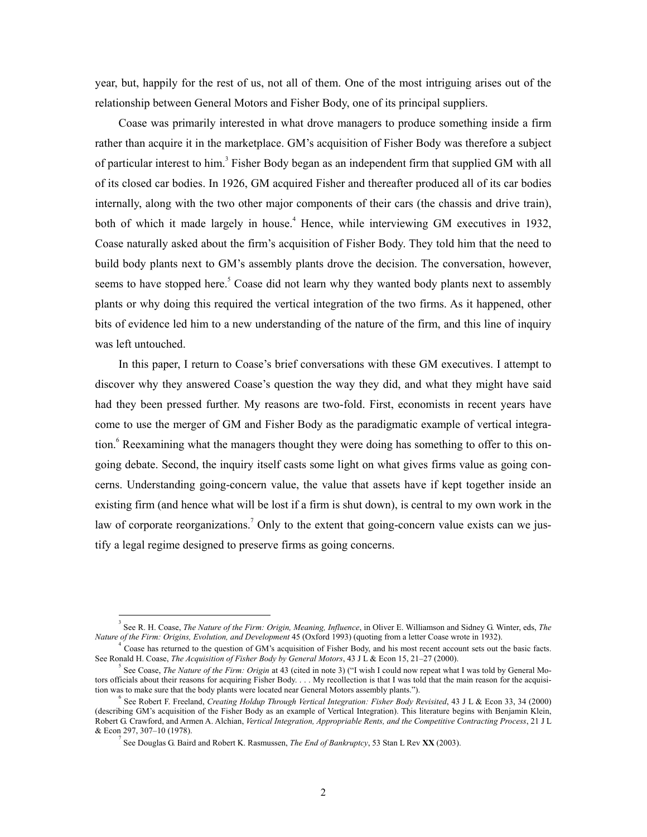year, but, happily for the rest of us, not all of them. One of the most intriguing arises out of the relationship between General Motors and Fisher Body, one of its principal suppliers.

Coase was primarily interested in what drove managers to produce something inside a firm rather than acquire it in the marketplace. GM's acquisition of Fisher Body was therefore a subject ofparticular interest to him.<sup>3</sup> Fisher Body began as an independent firm that supplied GM with all of its closed car bodies. In 1926, GM acquired Fisher and thereafter produced all of its car bodies internally, along with the two other major components of their cars (the chassis and drive train), both of which it made largely in house.<sup>[4](#page-3-1)</sup> Hence, while interviewing GM executives in 1932, Coase naturally asked about the firm's acquisition of Fisher Body. They told him that the need to build body plants next to GM's assembly plants drove the decision. The conversation, however, seems to have stopped here.<sup>[5](#page-3-2)</sup> Coase did not learn why they wanted body plants next to assembly plants or why doing this required the vertical integration of the two firms. As it happened, other bits of evidence led him to a new understanding of the nature of the firm, and this line of inquiry was left untouched.

In this paper, I return to Coase's brief conversations with these GM executives. I attempt to discover why they answered Coase's question the way they did, and what they might have said had they been pressed further. My reasons are two-fold. First, economists in recent years have come to use the merger of GM and Fisher Body as the paradigmatic example of vertical integra-tion.<sup>[6](#page-3-3)</sup> Reexamining what the managers thought they were doing has something to offer to this ongoing debate. Second, the inquiry itself casts some light on what gives firms value as going concerns. Understanding going-concern value, the value that assets have if kept together inside an existing firm (and hence what will be lost if a firm is shut down), is central to my own work in the law of corporate reorganizations.<sup>[7](#page-3-4)</sup> Only to the extent that going-concern value exists can we justify a legal regime designed to preserve firms as going concerns.

<span id="page-3-0"></span> $\frac{1}{3}$  See R. H. Coase, *The Nature of the Firm: Origin, Meaning, Influence*, in Oliver E. Williamson and Sidney G. Winter, eds, *The Nature of the Firm: Origins, Evolution, and Development* 45 (Oxford 1993) (quoting from a letter Coase wrote in 1932). 4

<span id="page-3-1"></span>Coase has returned to the question of GM's acquisition of Fisher Body, and his most recent account sets out the basic facts. See Ronald H. Coase, *The Acquisition of Fisher Body by General Motors*, 43 J L & Econ 15, 21–27 (2000).

<span id="page-3-2"></span>See Coase, *The Nature of the Firm: Origin* at 43 (cited in note 3) ("I wish I could now repeat what I was told by General Motors officials about their reasons for acquiring Fisher Body. . . . My recollection is that I was told that the main reason for the acquisition was to make sure that the body plants were located near General Motors assembly plants.").

<span id="page-3-3"></span><sup>6</sup> See Robert F. Freeland, *Creating Holdup Through Vertical Integration: Fisher Body Revisited*, 43 J L & Econ 33, 34 (2000) (describing GM's acquisition of the Fisher Body as an example of Vertical Integration). This literature begins with Benjamin Klein, Robert G. Crawford, and Armen A. Alchian, *Vertical Integration, Appropriable Rents, and the Competitive Contracting Process*, 21 J L & Econ 297, 307–10 (1978).

<span id="page-3-4"></span><sup>7</sup> See Douglas G. Baird and Robert K. Rasmussen, *The End of Bankruptcy*, 53 Stan L Rev **XX** (2003).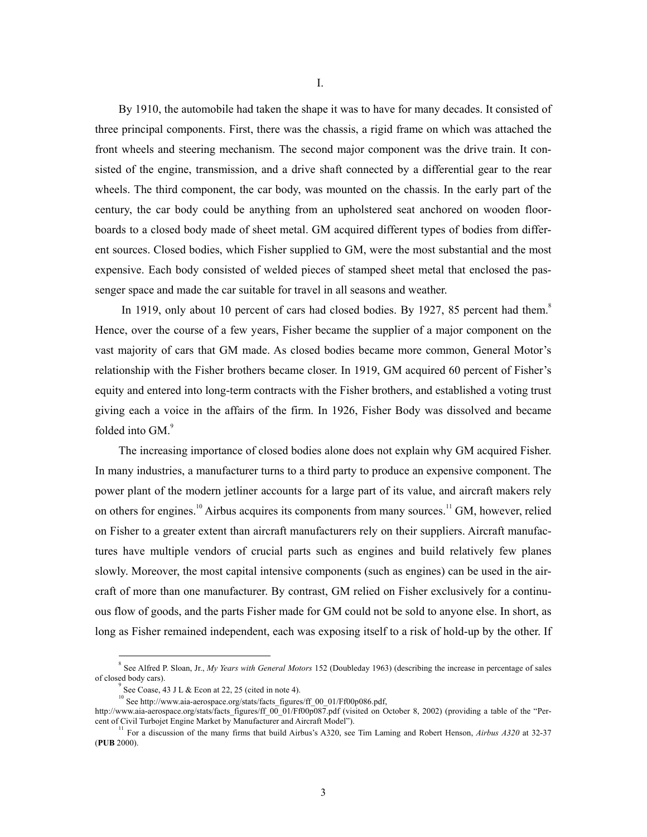By 1910, the automobile had taken the shape it was to have for many decades. It consisted of three principal components. First, there was the chassis, a rigid frame on which was attached the front wheels and steering mechanism. The second major component was the drive train. It consisted of the engine, transmission, and a drive shaft connected by a differential gear to the rear wheels. The third component, the car body, was mounted on the chassis. In the early part of the century, the car body could be anything from an upholstered seat anchored on wooden floorboards to a closed body made of sheet metal. GM acquired different types of bodies from different sources. Closed bodies, which Fisher supplied to GM, were the most substantial and the most expensive. Each body consisted of welded pieces of stamped sheet metal that enclosed the passenger space and made the car suitable for travel in all seasons and weather.

In 1919, only about 10 percent of cars had closed bodies. By 1927, [8](#page-4-0)5 percent had them.<sup>8</sup> Hence, over the course of a few years, Fisher became the supplier of a major component on the vast majority of cars that GM made. As closed bodies became more common, General Motor's relationship with the Fisher brothers became closer. In 1919, GM acquired 60 percent of Fisher's equity and entered into long-term contracts with the Fisher brothers, and established a voting trust giving each a voice in the affairs of the firm. In 1926, Fisher Body was dissolved and became folded into  $GM<sup>9</sup>$  $GM<sup>9</sup>$  $GM<sup>9</sup>$ .

The increasing importance of closed bodies alone does not explain why GM acquired Fisher. In many industries, a manufacturer turns to a third party to produce an expensive component. The power plant of the modern jetliner accounts for a large part of its value, and aircraft makers rely on others for engines.<sup>10</sup> Airbus acquires its components from many sources.<sup>11</sup> GM, however, relied on Fisher to a greater extent than aircraft manufacturers rely on their suppliers. Aircraft manufactures have multiple vendors of crucial parts such as engines and build relatively few planes slowly. Moreover, the most capital intensive components (such as engines) can be used in the aircraft of more than one manufacturer. By contrast, GM relied on Fisher exclusively for a continuous flow of goods, and the parts Fisher made for GM could not be sold to anyone else. In short, as long as Fisher remained independent, each was exposing itself to a risk of hold-up by the other. If

 $\frac{1}{8}$  See Alfred P. Sloan, Jr., *My Years with General Motors* 152 (Doubleday 1963) (describing the increase in percentage of sales of closed body cars).

<span id="page-4-1"></span><span id="page-4-0"></span><sup>9</sup> See Coase, 43 J L & Econ at 22, 25 (cited in note 4).

<span id="page-4-2"></span><sup>10</sup> See http://www.aia-aerospace.org/stats/facts\_figures/ff\_00\_01/Ff00p086.pdf,

http://www.aia-aerospace.org/stats/facts\_figures/ff\_00\_01/Ff00p087.pdf (visited on October 8, 2002) (providing a table of the "Percent of Civil Turbojet Engine Market by Manufacturer and Aircraft Model").

<span id="page-4-3"></span><sup>11</sup> For a discussion of the many firms that build Airbus's A320, see Tim Laming and Robert Henson, *Airbus A320* at 32-37 (**PUB** 2000).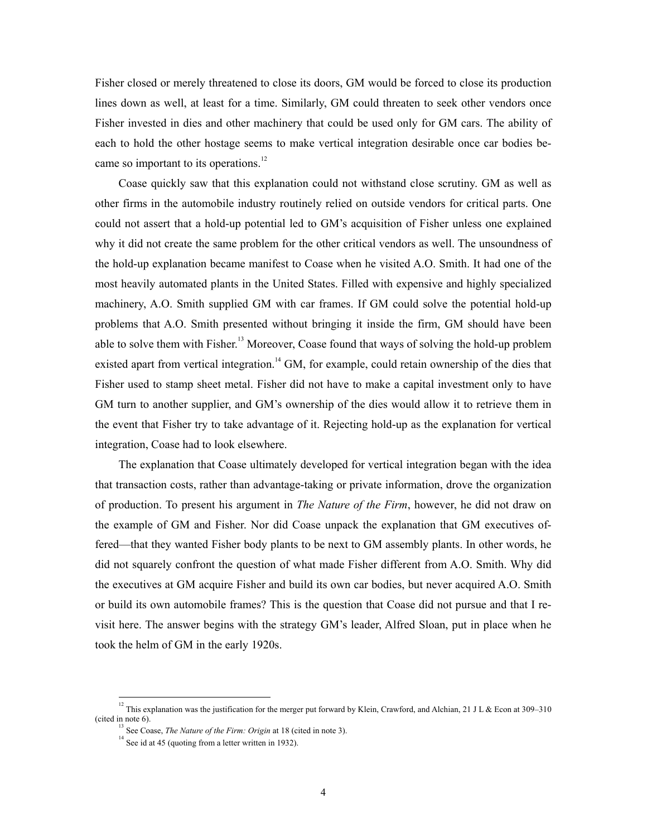Fisher closed or merely threatened to close its doors, GM would be forced to close its production lines down as well, at least for a time. Similarly, GM could threaten to seek other vendors once Fisher invested in dies and other machinery that could be used only for GM cars. The ability of each to hold the other hostage seems to make vertical integration desirable once car bodies be-came so important to its operations.<sup>[12](#page-5-0)</sup>

Coase quickly saw that this explanation could not withstand close scrutiny. GM as well as other firms in the automobile industry routinely relied on outside vendors for critical parts. One could not assert that a hold-up potential led to GM's acquisition of Fisher unless one explained why it did not create the same problem for the other critical vendors as well. The unsoundness of the hold-up explanation became manifest to Coase when he visited A.O. Smith. It had one of the most heavily automated plants in the United States. Filled with expensive and highly specialized machinery, A.O. Smith supplied GM with car frames. If GM could solve the potential hold-up problems that A.O. Smith presented without bringing it inside the firm, GM should have been able to solve them with Fisher.<sup>13</sup> Moreover, Coase found that ways of solving the hold-up problem existed apart from vertical integration.<sup>14</sup> GM, for example, could retain ownership of the dies that Fisher used to stamp sheet metal. Fisher did not have to make a capital investment only to have GM turn to another supplier, and GM's ownership of the dies would allow it to retrieve them in the event that Fisher try to take advantage of it. Rejecting hold-up as the explanation for vertical integration, Coase had to look elsewhere.

The explanation that Coase ultimately developed for vertical integration began with the idea that transaction costs, rather than advantage-taking or private information, drove the organization of production. To present his argument in *The Nature of the Firm*, however, he did not draw on the example of GM and Fisher. Nor did Coase unpack the explanation that GM executives offered—that they wanted Fisher body plants to be next to GM assembly plants. In other words, he did not squarely confront the question of what made Fisher different from A.O. Smith. Why did the executives at GM acquire Fisher and build its own car bodies, but never acquired A.O. Smith or build its own automobile frames? This is the question that Coase did not pursue and that I revisit here. The answer begins with the strategy GM's leader, Alfred Sloan, put in place when he took the helm of GM in the early 1920s.

<sup>&</sup>lt;sup>12</sup> This explanation was the justification for the merger put forward by Klein, Crawford, and Alchian, 21 J L & Econ at 309–310 (cited in note  $6$ ).

<span id="page-5-1"></span><span id="page-5-0"></span>See Coase, *The Nature of the Firm: Origin* at 18 (cited in note 3).

<span id="page-5-2"></span> $14$  See id at 45 (quoting from a letter written in 1932).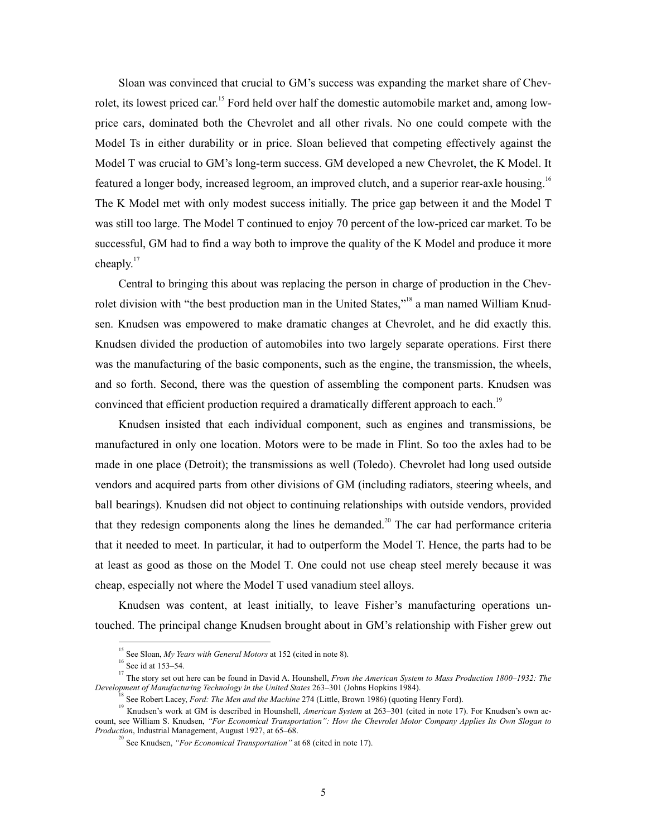Sloan was convinced that crucial to GM's success was expanding the market share of Chevrolet, its lowest priced car.<sup>15</sup> Ford held over half the domestic automobile market and, among lowprice cars, dominated both the Chevrolet and all other rivals. No one could compete with the Model Ts in either durability or in price. Sloan believed that competing effectively against the Model T was crucial to GM's long-term success. GM developed a new Chevrolet, the K Model. It featured a longer body, increased legroom, an improved clutch, and a superior rear-axle housing.<sup>[16](#page-6-1)</sup> The K Model met with only modest success initially. The price gap between it and the Model T was still too large. The Model T continued to enjoy 70 percent of the low-priced car market. To be successful, GM had to find a way both to improve the quality of the K Model and produce it more cheaply.<sup>17</sup>

Central to bringing this about was replacing the person in charge of production in the Chevrolet division with "the best production man in the United States,"<sup>18</sup> a man named William Knudsen. Knudsen was empowered to make dramatic changes at Chevrolet, and he did exactly this. Knudsen divided the production of automobiles into two largely separate operations. First there was the manufacturing of the basic components, such as the engine, the transmission, the wheels, and so forth. Second, there was the question of assembling the component parts. Knudsen was convinced that efficient production required a dramatically different approach to each.<sup>[19](#page-6-4)</sup>

Knudsen insisted that each individual component, such as engines and transmissions, be manufactured in only one location. Motors were to be made in Flint. So too the axles had to be made in one place (Detroit); the transmissions as well (Toledo). Chevrolet had long used outside vendors and acquired parts from other divisions of GM (including radiators, steering wheels, and ball bearings). Knudsen did not object to continuing relationships with outside vendors, provided that they redesign components along the lines he demanded.<sup>[20](#page-6-5)</sup> The car had performance criteria that it needed to meet. In particular, it had to outperform the Model T. Hence, the parts had to be at least as good as those on the Model T. One could not use cheap steel merely because it was cheap, especially not where the Model T used vanadium steel alloys.

Knudsen was content, at least initially, to leave Fisher's manufacturing operations untouched. The principal change Knudsen brought about in GM's relationship with Fisher grew out

<span id="page-6-0"></span><sup>&</sup>lt;sup>15</sup> See Sloan, *My Years with General Motors* at 152 (cited in note 8).

<span id="page-6-2"></span><span id="page-6-1"></span> $^{16}$  See id at 153–54.

<sup>&</sup>lt;sup>17</sup> The story set out here can be found in David A. Hounshell, *From the American System to Mass Production 1800–1932: The Development of Manufacturing Technology in the United States* 263–301 (Johns Hopkins 1984).

<span id="page-6-4"></span><span id="page-6-3"></span>

<sup>&</sup>lt;sup>18</sup> See Robert Lacey, *Ford: The Men and the Machine* 274 (Little, Brown 1986) (quoting Henry Ford).<br><sup>19</sup> Knudsen's work at GM is described in Hounshell, *American System* at 263–301 (cited in note 17). For Knudsen's own count, see William S. Knudsen, *"For Economical Transportation": How the Chevrolet Motor Company Applies Its Own Slogan to Production*, Industrial Management, August 1927, at 65–68.

<span id="page-6-5"></span><sup>20</sup> See Knudsen, *"For Economical Transportation"* at 68 (cited in note 17).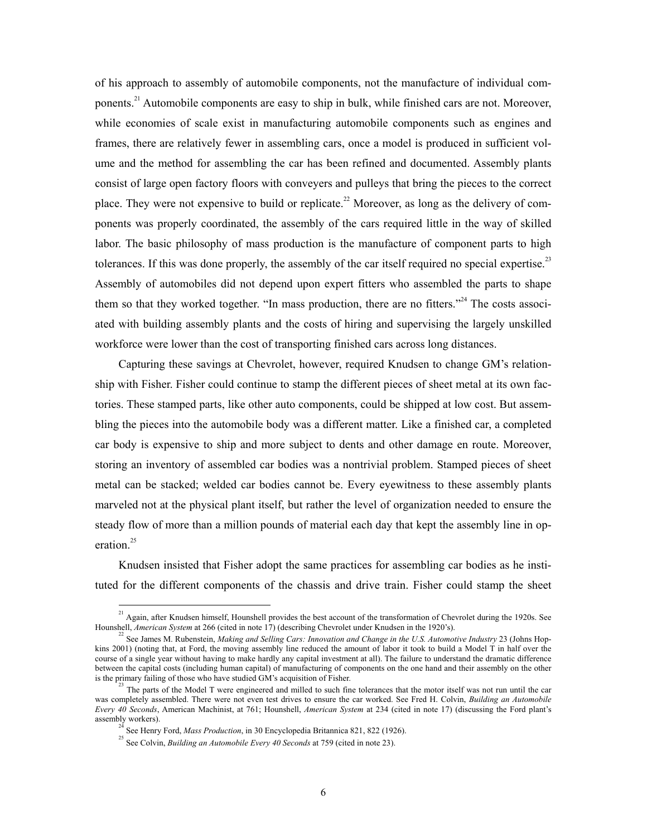of his approach to assembly of automobile components, not the manufacture of individual com-ponents.<sup>[21](#page-7-0)</sup> Automobile components are easy to ship in bulk, while finished cars are not. Moreover, while economies of scale exist in manufacturing automobile components such as engines and frames, there are relatively fewer in assembling cars, once a model is produced in sufficient volume and the method for assembling the car has been refined and documented. Assembly plants consist of large open factory floors with conveyers and pulleys that bring the pieces to the correct place. They were not expensive to build or replicate.<sup>[22](#page-7-1)</sup> Moreover, as long as the delivery of components was properly coordinated, the assembly of the cars required little in the way of skilled labor. The basic philosophy of mass production is the manufacture of component parts to high tolerances. If this was done properly, the assembly of the car itself required no special expertise.<sup>[23](#page-7-2)</sup> Assembly of automobiles did not depend upon expert fitters who assembled the parts to shape them so that they worked together. "In mass production, there are no fitters."<sup>[24](#page-7-3)</sup> The costs associated with building assembly plants and the costs of hiring and supervising the largely unskilled workforce were lower than the cost of transporting finished cars across long distances.

Capturing these savings at Chevrolet, however, required Knudsen to change GM's relationship with Fisher. Fisher could continue to stamp the different pieces of sheet metal at its own factories. These stamped parts, like other auto components, could be shipped at low cost. But assembling the pieces into the automobile body was a different matter. Like a finished car, a completed car body is expensive to ship and more subject to dents and other damage en route. Moreover, storing an inventory of assembled car bodies was a nontrivial problem. Stamped pieces of sheet metal can be stacked; welded car bodies cannot be. Every eyewitness to these assembly plants marveled not at the physical plant itself, but rather the level of organization needed to ensure the steady flow of more than a million pounds of material each day that kept the assembly line in operation.<sup>25</sup>

Knudsen insisted that Fisher adopt the same practices for assembling car bodies as he instituted for the different components of the chassis and drive train. Fisher could stamp the sheet

<span id="page-7-0"></span><sup>&</sup>lt;sup>21</sup> Again, after Knudsen himself, Hounshell provides the best account of the transformation of Chevrolet during the 1920s. See Hounshell, *American System* at 266 (cited in note 17) (describing Chevrolet under Knudsen in the 1920's). 22

<span id="page-7-1"></span>See James M. Rubenstein, *Making and Selling Cars: Innovation and Change in the U.S. Automotive Industry* 23 (Johns Hopkins 2001) (noting that, at Ford, the moving assembly line reduced the amount of labor it took to build a Model T in half over the course of a single year without having to make hardly any capital investment at all). The failure to understand the dramatic difference between the capital costs (including human capital) of manufacturing of components on the one hand and their assembly on the other is the primary failing of those who have studied GM's acquisition of Fisher.<br><sup>23</sup> The parts of the Model T were engineered and milled to such fine tolerances that the motor itself was not run until the car

<span id="page-7-2"></span>was completely assembled. There were not even test drives to ensure the car worked. See Fred H. Colvin, *Building an Automobile Every 40 Seconds*, American Machinist, at 761; Hounshell, *American System* at 234 (cited in note 17) (discussing the Ford plant's assembly workers).

<span id="page-7-3"></span><sup>&</sup>lt;sup>24</sup> See Henry Ford, *Mass Production*, in 30 Encyclopedia Britannica 821, 822 (1926).<br><sup>25</sup> See Colvin, *Building an Automobile Every 40 Seconds* at 759 (cited in note 23).

<span id="page-7-4"></span>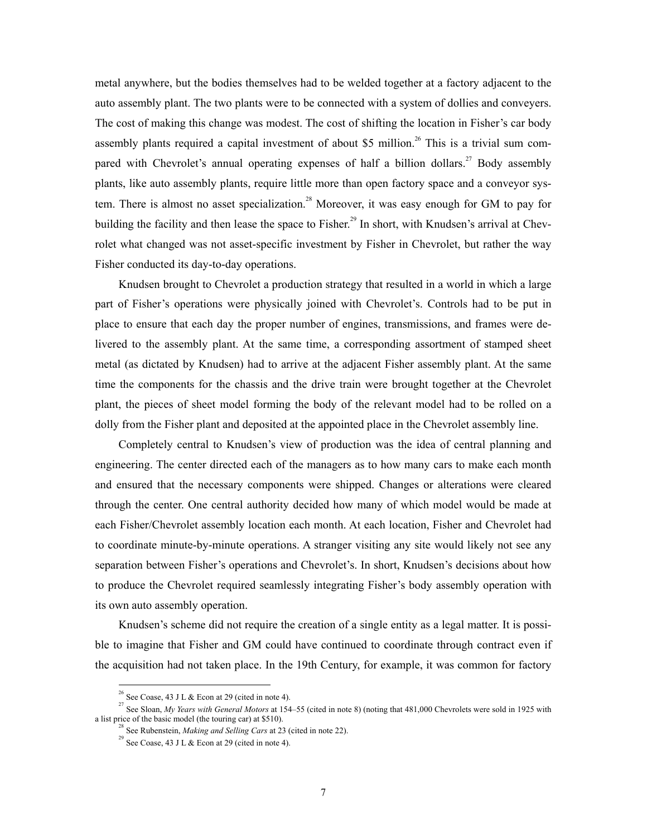metal anywhere, but the bodies themselves had to be welded together at a factory adjacent to the auto assembly plant. The two plants were to be connected with a system of dollies and conveyers. The cost of making this change was modest. The cost of shifting the location in Fisher's car body assembly plants required a capital investment of about \$5 million.<sup>[26](#page-8-0)</sup> This is a trivial sum compared with Chevrolet's annual operating expenses of half a billion dollars.<sup>27</sup> Body assembly plants, like auto assembly plants, require little more than open factory space and a conveyor system. There is almost no asset specialization.<sup>28</sup> Moreover, it was easy enough for GM to pay for building the facility and then lease the space to Fisher.<sup>29</sup> In short, with Knudsen's arrival at Chevrolet what changed was not asset-specific investment by Fisher in Chevrolet, but rather the way Fisher conducted its day-to-day operations.

Knudsen brought to Chevrolet a production strategy that resulted in a world in which a large part of Fisher's operations were physically joined with Chevrolet's. Controls had to be put in place to ensure that each day the proper number of engines, transmissions, and frames were delivered to the assembly plant. At the same time, a corresponding assortment of stamped sheet metal (as dictated by Knudsen) had to arrive at the adjacent Fisher assembly plant. At the same time the components for the chassis and the drive train were brought together at the Chevrolet plant, the pieces of sheet model forming the body of the relevant model had to be rolled on a dolly from the Fisher plant and deposited at the appointed place in the Chevrolet assembly line.

Completely central to Knudsen's view of production was the idea of central planning and engineering. The center directed each of the managers as to how many cars to make each month and ensured that the necessary components were shipped. Changes or alterations were cleared through the center. One central authority decided how many of which model would be made at each Fisher/Chevrolet assembly location each month. At each location, Fisher and Chevrolet had to coordinate minute-by-minute operations. A stranger visiting any site would likely not see any separation between Fisher's operations and Chevrolet's. In short, Knudsen's decisions about how to produce the Chevrolet required seamlessly integrating Fisher's body assembly operation with its own auto assembly operation.

Knudsen's scheme did not require the creation of a single entity as a legal matter. It is possible to imagine that Fisher and GM could have continued to coordinate through contract even if the acquisition had not taken place. In the 19th Century, for example, it was common for factory

<span id="page-8-1"></span><span id="page-8-0"></span> <sup>26</sup> See Coase, 43 J L & Econ at 29 (cited in note 4).

<sup>&</sup>lt;sup>27</sup> See Sloan, *My Years with General Motors* at 154–55 (cited in note 8) (noting that 481,000 Chevrolets were sold in 1925 with a list price of the basic model (the touring car) at \$510).

<span id="page-8-2"></span><sup>&</sup>lt;sup>28</sup> See Rubenstein, *Making and Selling Cars* at 23 (cited in note 22).<br><sup>29</sup> See Coase, 43 J L & Econ at 29 (cited in note 4).

<span id="page-8-3"></span>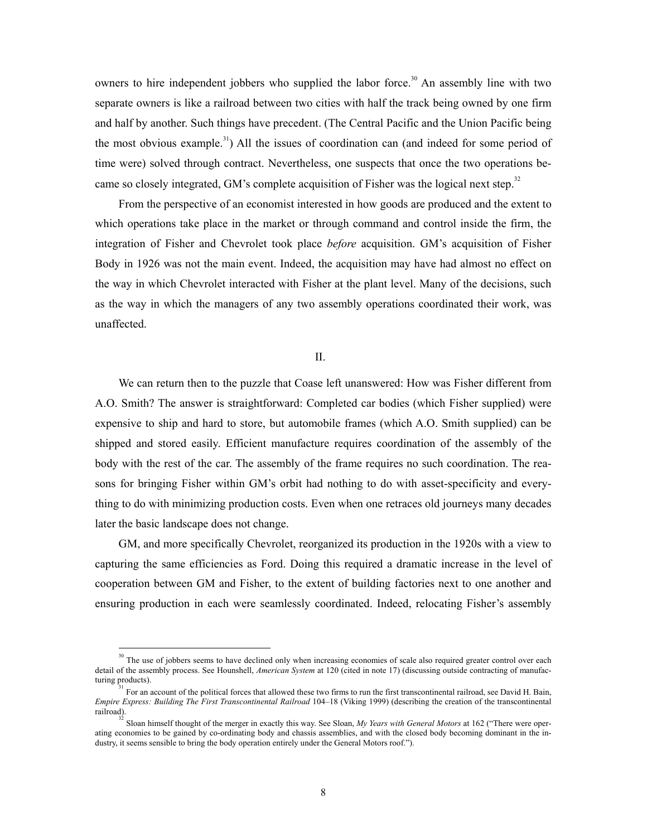owners to hire independent jobbers who supplied the labor force.<sup>30</sup> An assembly line with two separate owners is like a railroad between two cities with half the track being owned by one firm and half by another. Such things have precedent. (The Central Pacific and the Union Pacific being the most obvious example.<sup>31</sup>) All the issues of coordination can (and indeed for some period of time were) solved through contract. Nevertheless, one suspects that once the two operations be-came so closely integrated, GM's complete acquisition of Fisher was the logical next step.<sup>[32](#page-9-2)</sup>

From the perspective of an economist interested in how goods are produced and the extent to which operations take place in the market or through command and control inside the firm, the integration of Fisher and Chevrolet took place *before* acquisition. GM's acquisition of Fisher Body in 1926 was not the main event. Indeed, the acquisition may have had almost no effect on the way in which Chevrolet interacted with Fisher at the plant level. Many of the decisions, such as the way in which the managers of any two assembly operations coordinated their work, was unaffected.

#### II.

We can return then to the puzzle that Coase left unanswered: How was Fisher different from A.O. Smith? The answer is straightforward: Completed car bodies (which Fisher supplied) were expensive to ship and hard to store, but automobile frames (which A.O. Smith supplied) can be shipped and stored easily. Efficient manufacture requires coordination of the assembly of the body with the rest of the car. The assembly of the frame requires no such coordination. The reasons for bringing Fisher within GM's orbit had nothing to do with asset-specificity and everything to do with minimizing production costs. Even when one retraces old journeys many decades later the basic landscape does not change.

GM, and more specifically Chevrolet, reorganized its production in the 1920s with a view to capturing the same efficiencies as Ford. Doing this required a dramatic increase in the level of cooperation between GM and Fisher, to the extent of building factories next to one another and ensuring production in each were seamlessly coordinated. Indeed, relocating Fisher's assembly

<span id="page-9-0"></span> $30<sup>30</sup>$  The use of jobbers seems to have declined only when increasing economies of scale also required greater control over each detail of the assembly process. See Hounshell, *American System* at 120 (cited in note 17) (discussing outside contracting of manufacturing products).

<span id="page-9-1"></span><sup>31</sup> For an account of the political forces that allowed these two firms to run the first transcontinental railroad, see David H. Bain, *Empire Express: Building The First Transcontinental Railroad* 104–18 (Viking 1999) (describing the creation of the transcontinental railroad).

<span id="page-9-2"></span><sup>32</sup> Sloan himself thought of the merger in exactly this way. See Sloan, *My Years with General Motors* at 162 ("There were operating economies to be gained by co-ordinating body and chassis assemblies, and with the closed body becoming dominant in the industry, it seems sensible to bring the body operation entirely under the General Motors roof.").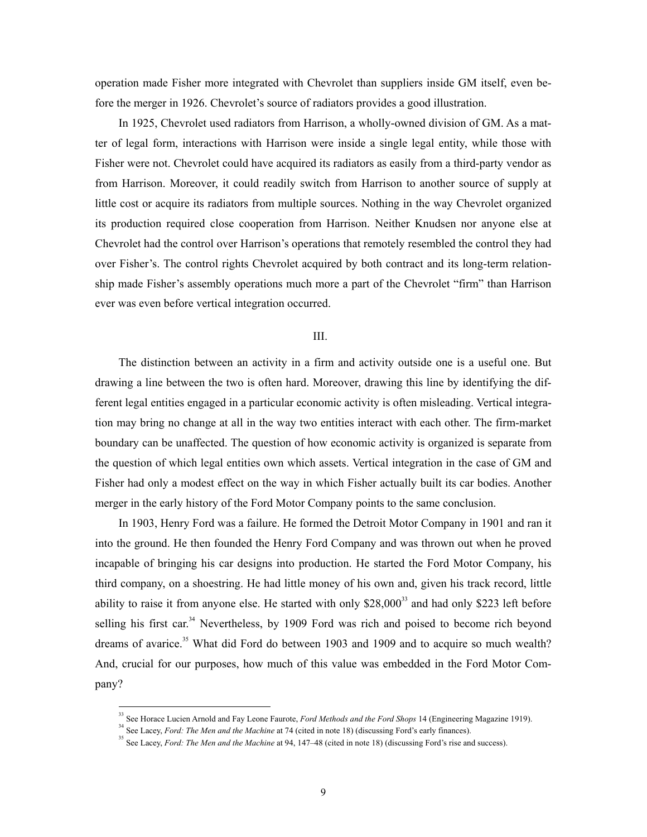operation made Fisher more integrated with Chevrolet than suppliers inside GM itself, even before the merger in 1926. Chevrolet's source of radiators provides a good illustration.

In 1925, Chevrolet used radiators from Harrison, a wholly-owned division of GM. As a matter of legal form, interactions with Harrison were inside a single legal entity, while those with Fisher were not. Chevrolet could have acquired its radiators as easily from a third-party vendor as from Harrison. Moreover, it could readily switch from Harrison to another source of supply at little cost or acquire its radiators from multiple sources. Nothing in the way Chevrolet organized its production required close cooperation from Harrison. Neither Knudsen nor anyone else at Chevrolet had the control over Harrison's operations that remotely resembled the control they had over Fisher's. The control rights Chevrolet acquired by both contract and its long-term relationship made Fisher's assembly operations much more a part of the Chevrolet "firm" than Harrison ever was even before vertical integration occurred.

#### III.

The distinction between an activity in a firm and activity outside one is a useful one. But drawing a line between the two is often hard. Moreover, drawing this line by identifying the different legal entities engaged in a particular economic activity is often misleading. Vertical integration may bring no change at all in the way two entities interact with each other. The firm-market boundary can be unaffected. The question of how economic activity is organized is separate from the question of which legal entities own which assets. Vertical integration in the case of GM and Fisher had only a modest effect on the way in which Fisher actually built its car bodies. Another merger in the early history of the Ford Motor Company points to the same conclusion.

In 1903, Henry Ford was a failure. He formed the Detroit Motor Company in 1901 and ran it into the ground. He then founded the Henry Ford Company and was thrown out when he proved incapable of bringing his car designs into production. He started the Ford Motor Company, his third company, on a shoestring. He had little money of his own and, given his track record, little ability to raise it from anyone else. He started with only \$28,000<sup>33</sup> and had only \$223 left before selling his first car.<sup>[34](#page-10-1)</sup> Nevertheless, by 1909 Ford was rich and poised to become rich beyond dreams of avarice.<sup>[35](#page-10-2)</sup> What did Ford do between 1903 and 1909 and to acquire so much wealth? And, crucial for our purposes, how much of this value was embedded in the Ford Motor Company?

<span id="page-10-0"></span> <sup>33</sup> See Horace Lucien Arnold and Fay Leone Faurote, *Ford Methods and the Ford Shops* 14 (Engineering Magazine 1919).

<span id="page-10-1"></span><sup>&</sup>lt;sup>34</sup> See Lacey, *Ford: The Men and the Machine* at 74 (cited in note 18) (discussing Ford's early finances).

<span id="page-10-2"></span><sup>&</sup>lt;sup>35</sup> See Lacey, *Ford: The Men and the Machine* at 94, 147–48 (cited in note 18) (discussing Ford's rise and success).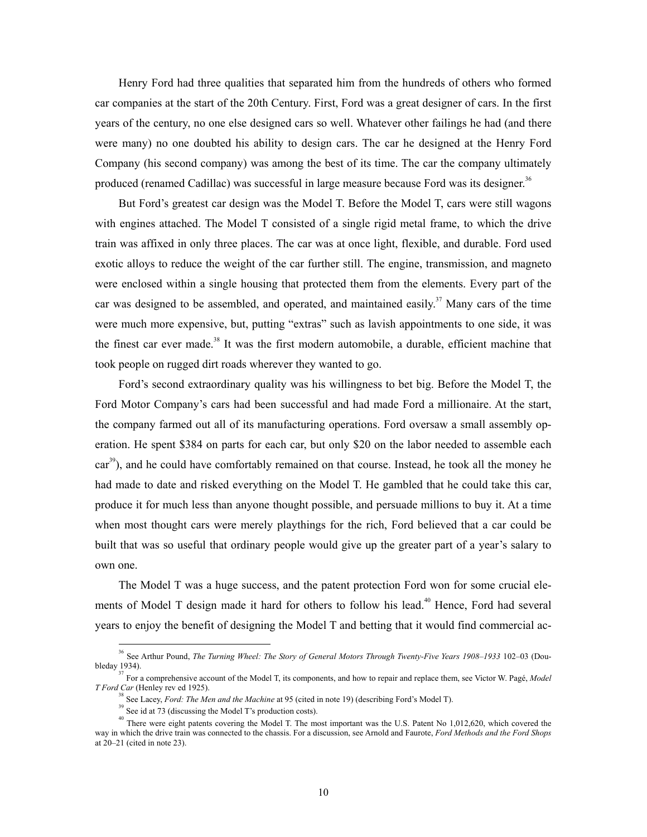Henry Ford had three qualities that separated him from the hundreds of others who formed car companies at the start of the 20th Century. First, Ford was a great designer of cars. In the first years of the century, no one else designed cars so well. Whatever other failings he had (and there were many) no one doubted his ability to design cars. The car he designed at the Henry Ford Company (his second company) was among the best of its time. The car the company ultimately produced (renamed Cadillac) was successful in large measure because Ford was its designer.<sup>[36](#page-11-0)</sup>

But Ford's greatest car design was the Model T. Before the Model T, cars were still wagons with engines attached. The Model T consisted of a single rigid metal frame, to which the drive train was affixed in only three places. The car was at once light, flexible, and durable. Ford used exotic alloys to reduce the weight of the car further still. The engine, transmission, and magneto were enclosed within a single housing that protected them from the elements. Every part of the car was designed to be assembled, and operated, and maintained easily.<sup>[37](#page-11-1)</sup> Many cars of the time were much more expensive, but, putting "extras" such as lavish appointments to one side, it was the finest car ever made.<sup>38</sup> It was the first modern automobile, a durable, efficient machine that took people on rugged dirt roads wherever they wanted to go.

Ford's second extraordinary quality was his willingness to bet big. Before the Model T, the Ford Motor Company's cars had been successful and had made Ford a millionaire. At the start, the company farmed out all of its manufacturing operations. Ford oversaw a small assembly operation. He spent \$384 on parts for each car, but only \$20 on the labor needed to assemble each car<sup>39</sup>), and he could have comfortably remained on that course. Instead, he took all the money he had made to date and risked everything on the Model T. He gambled that he could take this car, produce it for much less than anyone thought possible, and persuade millions to buy it. At a time when most thought cars were merely playthings for the rich, Ford believed that a car could be built that was so useful that ordinary people would give up the greater part of a year's salary to own one.

The Model T was a huge success, and the patent protection Ford won for some crucial elements of Model T design made it hard for others to follow his lead.<sup>40</sup> Hence, Ford had several years to enjoy the benefit of designing the Model T and betting that it would find commercial ac-

<span id="page-11-0"></span> $\frac{1}{36}$  See Arthur Pound, *The Turning Wheel: The Story of General Motors Through Twenty-Five Years 1908–1933* 102–03 (Doubleday 1934).

<sup>37</sup> For a comprehensive account of the Model T, its components, and how to repair and replace them, see Victor W. Pagé, *Model T Ford Car* (Henley rev ed 1925). 38

<span id="page-11-2"></span><span id="page-11-1"></span>See Lacey, *Ford: The Men and the Machine* at 95 (cited in note 19) (describing Ford's Model T).

<span id="page-11-4"></span><span id="page-11-3"></span> $39$  See id at 73 (discussing the Model T's production costs).

<sup>&</sup>lt;sup>40</sup> There were eight patents covering the Model T. The most important was the U.S. Patent No 1,012,620, which covered the way in which the drive train was connected to the chassis. For a discussion, see Arnold and Faurote, *Ford Methods and the Ford Shops* at  $20-21$  (cited in note 23).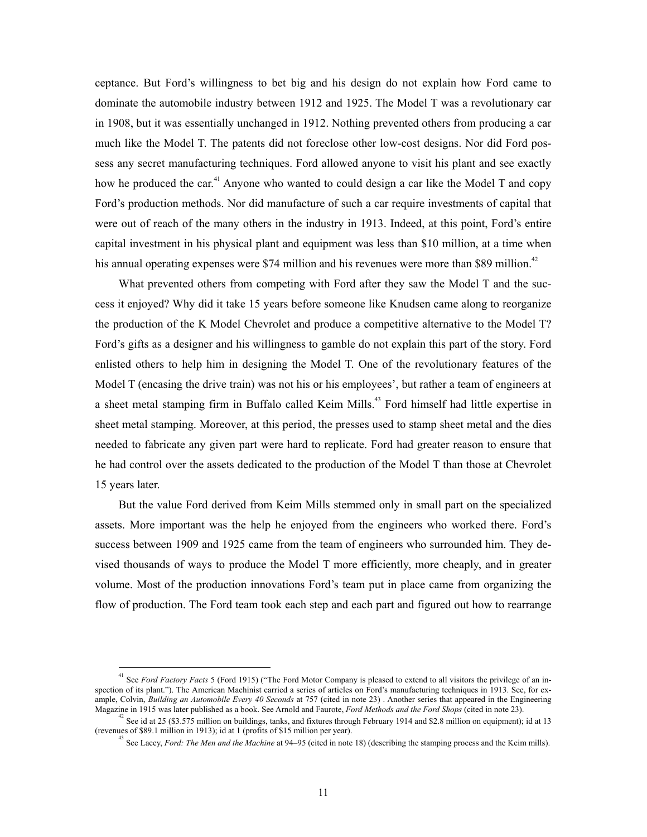ceptance. But Ford's willingness to bet big and his design do not explain how Ford came to dominate the automobile industry between 1912 and 1925. The Model T was a revolutionary car in 1908, but it was essentially unchanged in 1912. Nothing prevented others from producing a car much like the Model T. The patents did not foreclose other low-cost designs. Nor did Ford possess any secret manufacturing techniques. Ford allowed anyone to visit his plant and see exactly how he produced the car.<sup>[41](#page-12-0)</sup> Anyone who wanted to could design a car like the Model T and copy Ford's production methods. Nor did manufacture of such a car require investments of capital that were out of reach of the many others in the industry in 1913. Indeed, at this point, Ford's entire capital investment in his physical plant and equipment was less than \$10 million, at a time when his annual operating expenses were \$74 million and his revenues were more than \$89 million.<sup>42</sup>

What prevented others from competing with Ford after they saw the Model T and the success it enjoyed? Why did it take 15 years before someone like Knudsen came along to reorganize the production of the K Model Chevrolet and produce a competitive alternative to the Model T? Ford's gifts as a designer and his willingness to gamble do not explain this part of the story. Ford enlisted others to help him in designing the Model T. One of the revolutionary features of the Model T (encasing the drive train) was not his or his employees', but rather a team of engineers at a sheet metal stamping firm in Buffalo called Keim Mills.<sup>43</sup> Ford himself had little expertise in sheet metal stamping. Moreover, at this period, the presses used to stamp sheet metal and the dies needed to fabricate any given part were hard to replicate. Ford had greater reason to ensure that he had control over the assets dedicated to the production of the Model T than those at Chevrolet 15 years later.

But the value Ford derived from Keim Mills stemmed only in small part on the specialized assets. More important was the help he enjoyed from the engineers who worked there. Ford's success between 1909 and 1925 came from the team of engineers who surrounded him. They devised thousands of ways to produce the Model T more efficiently, more cheaply, and in greater volume. Most of the production innovations Ford's team put in place came from organizing the flow of production. The Ford team took each step and each part and figured out how to rearrange

<span id="page-12-0"></span> $\frac{1}{41}$  See *Ford Factory Facts* 5 (Ford 1915) ("The Ford Motor Company is pleased to extend to all visitors the privilege of an inspection of its plant."). The American Machinist carried a series of articles on Ford's manufacturing techniques in 1913. See, for example, Colvin, *Building an Automobile Every 40 Seconds* at 757 (cited in note 23). Another series that appeared in the Engineering Magazine in 1915 was later published as a book. See Arnold and Faurote, *Ford Methods and* 

See id at 25 (\$3.575 million on buildings, tanks, and fixtures through February 1914 and \$2.8 million on equipment); id at 13 (revenues of \$89.1 million in 1913); id at 1 (profits of \$15 million per year). 43

<span id="page-12-2"></span><span id="page-12-1"></span>See Lacey, *Ford: The Men and the Machine* at 94–95 (cited in note 18) (describing the stamping process and the Keim mills).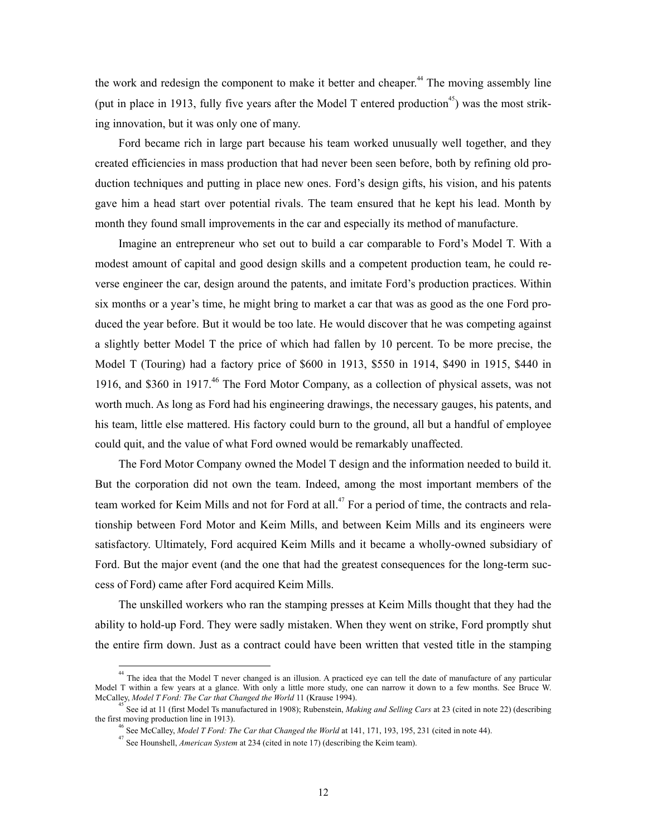the work and redesign the component to make it better and cheaper.<sup>[44](#page-13-0)</sup> The moving assembly line (put in place in 1913, fully five years after the Model T entered production<sup>45</sup>) was the most striking innovation, but it was only one of many.

Ford became rich in large part because his team worked unusually well together, and they created efficiencies in mass production that had never been seen before, both by refining old production techniques and putting in place new ones. Ford's d[esi](#page-13-3)gn gifts, his vision, and his patents gave him a head start over potential rivals. The team ensured that he kept his lead. Month by month they found small improvements in the car and especially its method of manufacture.

Imagine an entrepreneur who set out to build a car comparable to Ford's Model T. With a modest amount of capital and good design skills and a competent production team, he could reverse engineer the car, design around the patents, and imitate Ford's production practices. Within six months or a year's time, he might bring to market a car that was as good as the one Ford produced the year before. But it would be too late. He would discover that he was competing against a slightly better Model T the price of which had fallen by 10 percent. To be more precise, the Model T (Touring) had a factory price of \$600 in 1913, \$550 in 1914, \$490 in 1915, \$440 in 1916, and \$360 in 1917.<sup>46</sup> The Ford Motor Company, as a collection of physical assets, was not worth much. As long as Ford had his engineering drawings, the necessary gauges, his patents, and his team, little else mattered. His factory could burn to the ground, all but a handful of employee could quit, and the value of what Ford owned would be remarkably unaffected.

The Ford Motor Company owned the Model T design and the information needed to build it. But the corporation did not own the team. Indeed, among the most important members of the team worked for Keim Mills and not for Ford at all.<sup>47</sup> For a period of time, the contracts and relationship between Ford Motor and Keim Mills, and between Keim Mills and its engineers were satisfactory. Ultimately, Ford acquired Keim Mills and it became a wholly-owned subsidiary of Ford. But the major event (and the one that had the greatest consequences for the long-term success of Ford) came after Ford acquired Keim Mills.

The unskilled workers who ran the stamping presses at Keim Mills thought that they had the ability to hold-up Ford. They were sadly mistaken. When they went on strike, Ford promptly shut the entire firm down. Just as a contract could have been written that vested title in the stamping

<span id="page-13-0"></span><sup>&</sup>lt;sup>44</sup> The idea that the Model T never changed is an illusion. A practiced eye can tell the date of manufacture of any particular Model T within a few years at a glance. With only a little more study, one can narrow it down to a few months. See Bruce W. McCalley, *Model T Ford: The Car that Changed the World* 11 (Krause 1994).

<sup>45</sup> See id at 11 (first Model Ts manufactured in 1908); Rubenstein, *Making and Selling Cars* at 23 (cited in note 22) (describing the first moving production line in 1913).

<span id="page-13-2"></span><span id="page-13-1"></span><sup>46</sup> See McCalley, *Model T Ford: The Car that Changed the World* at 141, 171, 193, 195, 231 (cited in note 44).

<span id="page-13-3"></span><sup>47</sup> See Hounshell, *American System* at 234 (cited in note 17) (describing the Keim team).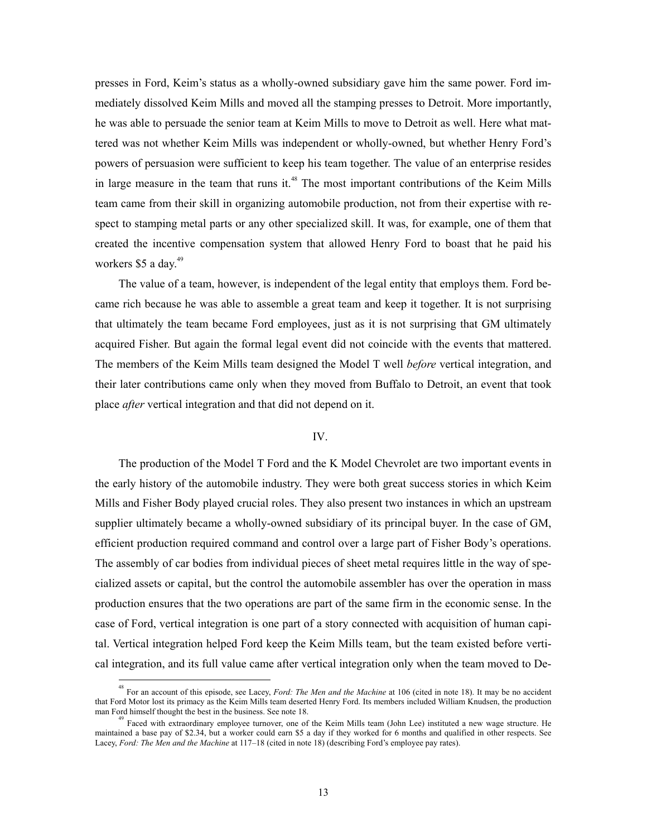presses in Ford, Keim's status as a wholly-owned subsidiary gave him the same power. Ford immediately dissolved Keim Mills and moved all the stamping presses to Detroit. More importantly, he was able to persuade the senior team at Keim Mills to move to Detroit as well. Here what mattered was not whether Keim Mills was independent or wholly-owned, but whether Henry Ford's powers of persuasion were sufficient to keep his team together. The value of an enterprise resides in large measure in the team that runs it.<sup>48</sup> The most important contributions of the Keim Mills team came from their skill in organizing automobile production, not from their expertise with respect to stamping metal parts or any other specialized skill. It was, for example, one of them that created the incentive compensation system that allowed Henry Ford to boast that he paid his workers \$5 a day.<sup>49</sup>

The value of a team, however, is independent of the legal entity that employs them. Ford became rich because he was able to assemble a great team and keep it together. It is not surprising that ultimately the team became Ford employees, just as it is not surprising that GM ultimately acquired Fisher. But again the formal legal event did not coincide with the events that mattered. The members of the Keim Mills team designed the Model T well *before* vertical integration, and their later contributions came only when they moved from Buffalo to Detroit, an event that took place *after* vertical integration and that did not depend on it.

#### IV.

The production of the Model T Ford and the K Model Chevrolet are two important events in the early history of the automobile industry. They were both great success stories in which Keim Mills and Fisher Body played crucial roles. They also present two instances in which an upstream supplier ultimately became a wholly-owned subsidiary of its principal buyer. In the case of GM, efficient production required command and control over a large part of Fisher Body's operations. The assembly of car bodies from individual pieces of sheet metal requires little in the way of specialized assets or capital, but the control the automobile assembler has over the operation in mass production ensures that the two operations are part of the same firm in the economic sense. In the case of Ford, vertical integration is one part of a story connected with acquisition of human capital. Vertical integration helped Ford keep the Keim Mills team, but the team existed before vertical integration, and its full value came after vertical integration only when the team moved to De-

 <sup>48</sup> For an account of this episode, see Lacey, *Ford: The Men and the Machine* at 106 (cited in note 18). It may be no accident that Ford Motor lost its primacy as the Keim Mills team deserted Henry Ford. Its members included William Knudsen, the production man Ford himself thought the best in the business. See note 18.

<span id="page-14-0"></span> $\beta$  Faced with extraordinary employee turnover, one of the Keim Mills team (John Lee) instituted a new wage structure. He maintained a base pay of \$2.34, but a worker could earn \$5 a day if they worked for 6 months and qualified in other respects. See Lacey, *Ford: The Men and the Machine* at 117–18 (cited in note 18) (describing Ford's employee pay rates).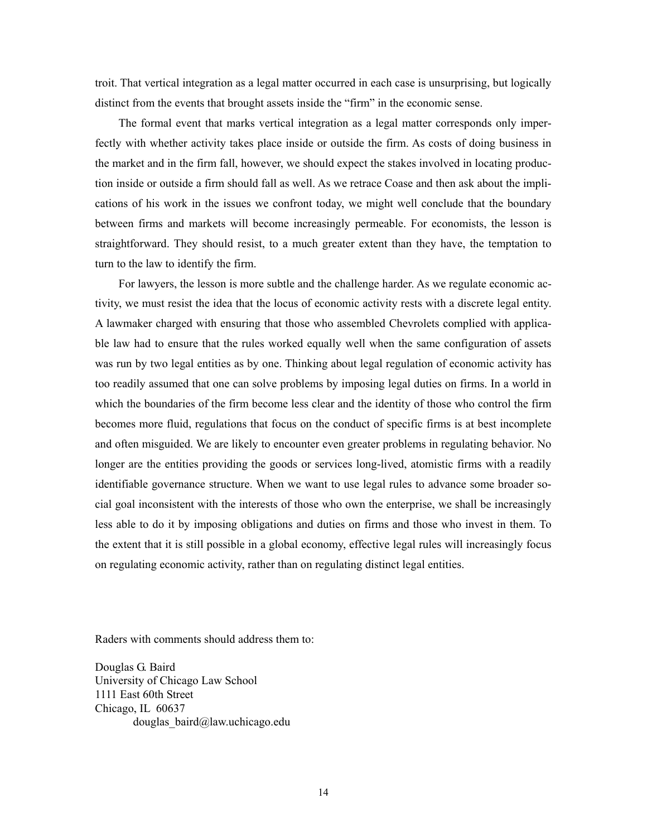troit. That vertical integration as a legal matter occurred in each case is unsurprising, but logically distinct from the events that brought assets inside the "firm" in the economic sense.

The formal event that marks vertical integration as a legal matter corresponds only imperfectly with whether activity takes place inside or outside the firm. As costs of doing business in the market and in the firm fall, however, we should expect the stakes involved in locating production inside or outside a firm should fall as well. As we retrace Coase and then ask about the implications of his work in the issues we confront today, we might well conclude that the boundary between firms and markets will become increasingly permeable. For economists, the lesson is straightforward. They should resist, to a much greater extent than they have, the temptation to turn to the law to identify the firm.

For lawyers, the lesson is more subtle and the challenge harder. As we regulate economic activity, we must resist the idea that the locus of economic activity rests with a discrete legal entity. A lawmaker charged with ensuring that those who assembled Chevrolets complied with applicable law had to ensure that the rules worked equally well when the same configuration of assets was run by two legal entities as by one. Thinking about legal regulation of economic activity has too readily assumed that one can solve problems by imposing legal duties on firms. In a world in which the boundaries of the firm become less clear and the identity of those who control the firm becomes more fluid, regulations that focus on the conduct of specific firms is at best incomplete and often misguided. We are likely to encounter even greater problems in regulating behavior. No longer are the entities providing the goods or services long-lived, atomistic firms with a readily identifiable governance structure. When we want to use legal rules to advance some broader social goal inconsistent with the interests of those who own the enterprise, we shall be increasingly less able to do it by imposing obligations and duties on firms and those who invest in them. To the extent that it is still possible in a global economy, effective legal rules will increasingly focus on regulating economic activity, rather than on regulating distinct legal entities.

Raders with comments should address them to:

Douglas G. Baird University of Chicago Law School 1111 East 60th Street Chicago, IL 60637 douglas\_baird@law.uchicago.edu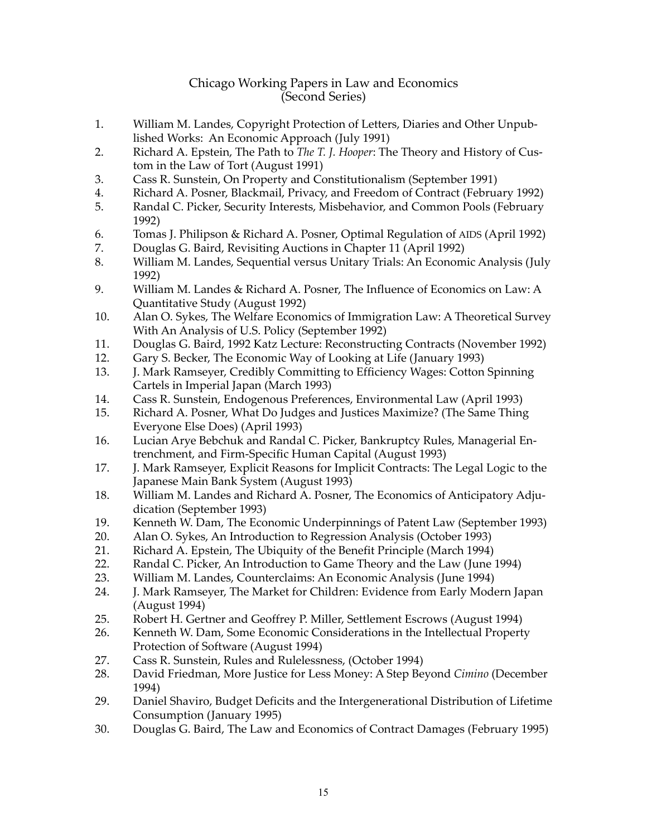#### Chicago Working Papers in Law and Economics (Second Series)

- 1. William M. Landes, Copyright Protection of Letters, Diaries and Other Unpublished Works: An Economic Approach (July 1991)
- 2. Richard A. Epstein, The Path to *The T. J. Hooper*: The Theory and History of Custom in the Law of Tort (August 1991)
- 3. Cass R. Sunstein, On Property and Constitutionalism (September 1991)
- 4. Richard A. Posner, Blackmail, Privacy, and Freedom of Contract (February 1992)
- 5. Randal C. Picker, Security Interests, Misbehavior, and Common Pools (February 1992)
- 6. Tomas J. Philipson & Richard A. Posner, Optimal Regulation of AIDS (April 1992)
- 7. Douglas G. Baird, Revisiting Auctions in Chapter 11 (April 1992)
- 8. William M. Landes, Sequential versus Unitary Trials: An Economic Analysis (July 1992)
- 9. William M. Landes & Richard A. Posner, The Influence of Economics on Law: A Quantitative Study (August 1992)
- 10. Alan O. Sykes, The Welfare Economics of Immigration Law: A Theoretical Survey With An Analysis of U.S. Policy (September 1992)
- 11. Douglas G. Baird, 1992 Katz Lecture: Reconstructing Contracts (November 1992)
- 12. Gary S. Becker, The Economic Way of Looking at Life (January 1993)
- 13. J. Mark Ramseyer, Credibly Committing to Efficiency Wages: Cotton Spinning Cartels in Imperial Japan (March 1993)
- 14. Cass R. Sunstein, Endogenous Preferences, Environmental Law (April 1993)
- 15. Richard A. Posner, What Do Judges and Justices Maximize? (The Same Thing Everyone Else Does) (April 1993)
- 16. Lucian Arye Bebchuk and Randal C. Picker, Bankruptcy Rules, Managerial Entrenchment, and Firm-Specific Human Capital (August 1993)
- 17. J. Mark Ramseyer, Explicit Reasons for Implicit Contracts: The Legal Logic to the Japanese Main Bank System (August 1993)
- 18. William M. Landes and Richard A. Posner, The Economics of Anticipatory Adjudication (September 1993)
- 19. Kenneth W. Dam, The Economic Underpinnings of Patent Law (September 1993)
- 20. Alan O. Sykes, An Introduction to Regression Analysis (October 1993)
- 21. Richard A. Epstein, The Ubiquity of the Benefit Principle (March 1994)<br>22. Randal C. Picker, An Introduction to Game Theory and the Law (June 1
- Randal C. Picker, An Introduction to Game Theory and the Law (June 1994)
- 23. William M. Landes, Counterclaims: An Economic Analysis (June 1994)
- 24. J. Mark Ramseyer, The Market for Children: Evidence from Early Modern Japan (August 1994)
- 25. Robert H. Gertner and Geoffrey P. Miller, Settlement Escrows (August 1994)
- 26. Kenneth W. Dam, Some Economic Considerations in the Intellectual Property Protection of Software (August 1994)
- 27. Cass R. Sunstein, Rules and Rulelessness, (October 1994)
- 28. David Friedman, More Justice for Less Money: A Step Beyond *Cimino* (December 1994)
- 29. Daniel Shaviro, Budget Deficits and the Intergenerational Distribution of Lifetime Consumption (January 1995)
- 30. Douglas G. Baird, The Law and Economics of Contract Damages (February 1995)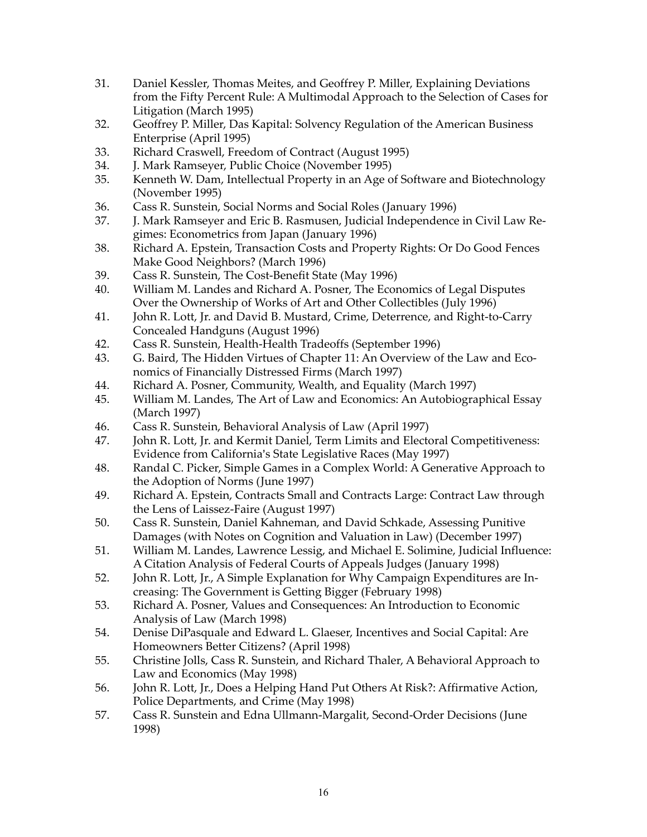- 31. Daniel Kessler, Thomas Meites, and Geoffrey P. Miller, Explaining Deviations from the Fifty Percent Rule: A Multimodal Approach to the Selection of Cases for Litigation (March 1995)
- 32. Geoffrey P. Miller, Das Kapital: Solvency Regulation of the American Business Enterprise (April 1995)
- 33. Richard Craswell, Freedom of Contract (August 1995)
- 34. J. Mark Ramseyer, Public Choice (November 1995)
- 35. Kenneth W. Dam, Intellectual Property in an Age of Software and Biotechnology (November 1995)
- 36. Cass R. Sunstein, Social Norms and Social Roles (January 1996)
- 37. J. Mark Ramseyer and Eric B. Rasmusen, Judicial Independence in Civil Law Regimes: Econometrics from Japan (January 1996)
- 38. Richard A. Epstein, Transaction Costs and Property Rights: Or Do Good Fences Make Good Neighbors? (March 1996)
- 39. Cass R. Sunstein, The Cost-Benefit State (May 1996)
- 40. William M. Landes and Richard A. Posner, The Economics of Legal Disputes Over the Ownership of Works of Art and Other Collectibles (July 1996)
- 41. John R. Lott, Jr. and David B. Mustard, Crime, Deterrence, and Right-to-Carry Concealed Handguns (August 1996)
- 42. Cass R. Sunstein, Health-Health Tradeoffs (September 1996)
- 43. G. Baird, The Hidden Virtues of Chapter 11: An Overview of the Law and Economics of Financially Distressed Firms (March 1997)
- 44. Richard A. Posner, Community, Wealth, and Equality (March 1997)
- 45. William M. Landes, The Art of Law and Economics: An Autobiographical Essay (March 1997)
- 46. Cass R. Sunstein, Behavioral Analysis of Law (April 1997)
- 47. John R. Lott, Jr. and Kermit Daniel, Term Limits and Electoral Competitiveness: Evidence from California's State Legislative Races (May 1997)
- 48. Randal C. Picker, Simple Games in a Complex World: A Generative Approach to the Adoption of Norms (June 1997)
- 49. Richard A. Epstein, Contracts Small and Contracts Large: Contract Law through the Lens of Laissez-Faire (August 1997)
- 50. Cass R. Sunstein, Daniel Kahneman, and David Schkade, Assessing Punitive Damages (with Notes on Cognition and Valuation in Law) (December 1997)
- 51. William M. Landes, Lawrence Lessig, and Michael E. Solimine, Judicial Influence: A Citation Analysis of Federal Courts of Appeals Judges (January 1998)
- 52. John R. Lott, Jr., A Simple Explanation for Why Campaign Expenditures are Increasing: The Government is Getting Bigger (February 1998)
- 53. Richard A. Posner, Values and Consequences: An Introduction to Economic Analysis of Law (March 1998)
- 54. Denise DiPasquale and Edward L. Glaeser, Incentives and Social Capital: Are Homeowners Better Citizens? (April 1998)
- 55. Christine Jolls, Cass R. Sunstein, and Richard Thaler, A Behavioral Approach to Law and Economics (May 1998)
- 56. John R. Lott, Jr., Does a Helping Hand Put Others At Risk?: Affirmative Action, Police Departments, and Crime (May 1998)
- 57. Cass R. Sunstein and Edna Ullmann-Margalit, Second-Order Decisions (June 1998)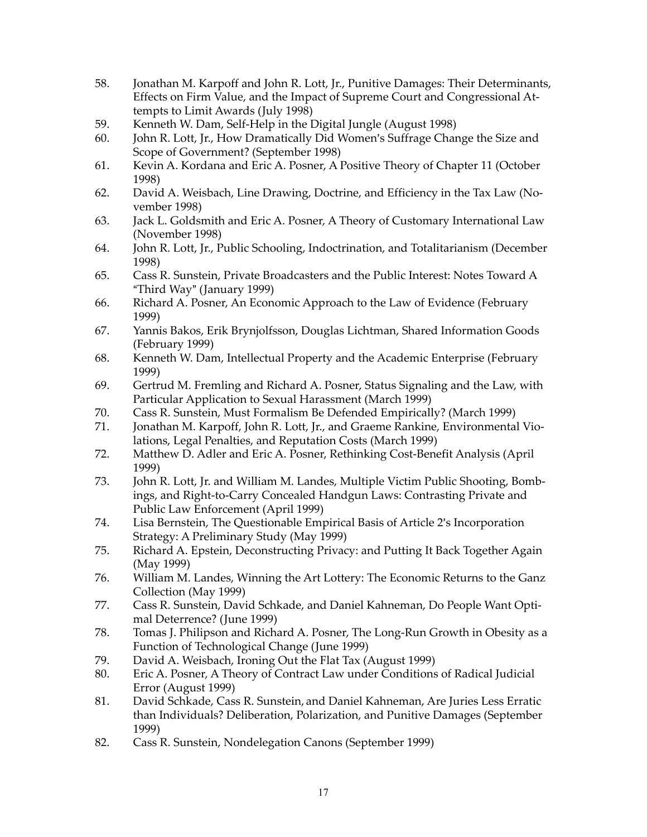- 58. Jonathan M. Karpoff and John R. Lott, Jr., Punitive Damages: Their Determinants, Effects on Firm Value, and the Impact of Supreme Court and Congressional Attempts to Limit Awards (July 1998)
- 59. Kenneth W. Dam, Self-Help in the Digital Jungle (August 1998)
- 60. John R. Lott, Jr., How Dramatically Did Women's Suffrage Change the Size and Scope of Government? (September 1998)
- 61. Kevin A. Kordana and Eric A. Posner, A Positive Theory of Chapter 11 (October 1998)
- 62. David A. Weisbach, Line Drawing, Doctrine, and Efficiency in the Tax Law (November 1998)
- 63. Jack L. Goldsmith and Eric A. Posner, A Theory of Customary International Law (November 1998)
- 64. John R. Lott, Jr., Public Schooling, Indoctrination, and Totalitarianism (December 1998)
- 65. Cass R. Sunstein, Private Broadcasters and the Public Interest: Notes Toward A "Third Way" (January 1999)
- 66. Richard A. Posner, An Economic Approach to the Law of Evidence (February 1999)
- 67. Yannis Bakos, Erik Brynjolfsson, Douglas Lichtman, Shared Information Goods (February 1999)
- 68. Kenneth W. Dam, Intellectual Property and the Academic Enterprise (February 1999)
- 69. Gertrud M. Fremling and Richard A. Posner, Status Signaling and the Law, with Particular Application to Sexual Harassment (March 1999)
- 70. Cass R. Sunstein, Must Formalism Be Defended Empirically? (March 1999)
- 71. Jonathan M. Karpoff, John R. Lott, Jr., and Graeme Rankine, Environmental Violations, Legal Penalties, and Reputation Costs (March 1999)
- 72. Matthew D. Adler and Eric A. Posner, Rethinking Cost-Benefit Analysis (April 1999)
- 73. John R. Lott, Jr. and William M. Landes, Multiple Victim Public Shooting, Bombings, and Right-to-Carry Concealed Handgun Laws: Contrasting Private and Public Law Enforcement (April 1999)
- 74. Lisa Bernstein, The Questionable Empirical Basis of Article 2's Incorporation Strategy: A Preliminary Study (May 1999)
- 75. Richard A. Epstein, Deconstructing Privacy: and Putting It Back Together Again (May 1999)
- 76. William M. Landes, Winning the Art Lottery: The Economic Returns to the Ganz Collection (May 1999)
- 77. Cass R. Sunstein, David Schkade, and Daniel Kahneman, Do People Want Optimal Deterrence? (June 1999)
- 78. Tomas J. Philipson and Richard A. Posner, The Long-Run Growth in Obesity as a Function of Technological Change (June 1999)
- 79. David A. Weisbach, Ironing Out the Flat Tax (August 1999)
- 80. Eric A. Posner, A Theory of Contract Law under Conditions of Radical Judicial Error (August 1999)
- 81. David Schkade, Cass R. Sunstein, and Daniel Kahneman, Are Juries Less Erratic than Individuals? Deliberation, Polarization, and Punitive Damages (September 1999)
- 82. Cass R. Sunstein, Nondelegation Canons (September 1999)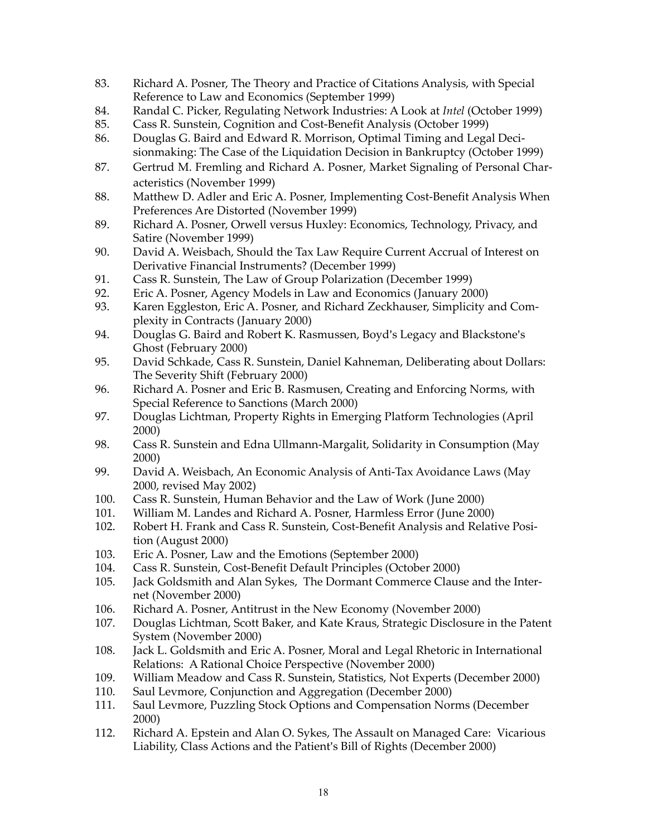- 83. Richard A. Posner, The Theory and Practice of Citations Analysis, with Special Reference to Law and Economics (September 1999)
- 84. Randal C. Picker, Regulating Network Industries: A Look at *Intel* (October 1999)
- 85. Cass R. Sunstein, Cognition and Cost-Benefit Analysis (October 1999)
- 86. Douglas G. Baird and Edward R. Morrison, Optimal Timing and Legal Decisionmaking: The Case of the Liquidation Decision in Bankruptcy (October 1999)
- 87. Gertrud M. Fremling and Richard A. Posner, Market Signaling of Personal Characteristics (November 1999)
- 88. Matthew D. Adler and Eric A. Posner, Implementing Cost-Benefit Analysis When Preferences Are Distorted (November 1999)
- 89. Richard A. Posner, Orwell versus Huxley: Economics, Technology, Privacy, and Satire (November 1999)
- 90. David A. Weisbach, Should the Tax Law Require Current Accrual of Interest on Derivative Financial Instruments? (December 1999)
- 91. Cass R. Sunstein, The Law of Group Polarization (December 1999)
- 92. Eric A. Posner, Agency Models in Law and Economics (January 2000)
- 93. Karen Eggleston, Eric A. Posner, and Richard Zeckhauser, Simplicity and Complexity in Contracts (January 2000)
- 94. Douglas G. Baird and Robert K. Rasmussen, Boyd's Legacy and Blackstone's Ghost (February 2000)
- 95. David Schkade, Cass R. Sunstein, Daniel Kahneman, Deliberating about Dollars: The Severity Shift (February 2000)
- 96. Richard A. Posner and Eric B. Rasmusen, Creating and Enforcing Norms, with Special Reference to Sanctions (March 2000)
- 97. Douglas Lichtman, Property Rights in Emerging Platform Technologies (April 2000)
- 98. Cass R. Sunstein and Edna Ullmann-Margalit, Solidarity in Consumption (May 2000)
- 99. David A. Weisbach, An Economic Analysis of Anti-Tax Avoidance Laws (May 2000, revised May 2002)
- 100. Cass R. Sunstein, Human Behavior and the Law of Work (June 2000)
- 101. William M. Landes and Richard A. Posner, Harmless Error (June 2000)
- 102. Robert H. Frank and Cass R. Sunstein, Cost-Benefit Analysis and Relative Position (August 2000)
- 103. Eric A. Posner, Law and the Emotions (September 2000)
- 104. Cass R. Sunstein, Cost-Benefit Default Principles (October 2000)
- 105. Jack Goldsmith and Alan Sykes, The Dormant Commerce Clause and the Internet (November 2000)
- 106. Richard A. Posner, Antitrust in the New Economy (November 2000)
- 107. Douglas Lichtman, Scott Baker, and Kate Kraus, Strategic Disclosure in the Patent System (November 2000)
- 108. Jack L. Goldsmith and Eric A. Posner, Moral and Legal Rhetoric in International Relations: A Rational Choice Perspective (November 2000)
- 109. William Meadow and Cass R. Sunstein, Statistics, Not Experts (December 2000)<br>110. Saul Levmore, Conjunction and Aggregation (December 2000)
- Saul Levmore, Conjunction and Aggregation (December 2000)
- 111. Saul Levmore, Puzzling Stock Options and Compensation Norms (December 2000)
- 112. Richard A. Epstein and Alan O. Sykes, The Assault on Managed Care: Vicarious Liability, Class Actions and the Patient's Bill of Rights (December 2000)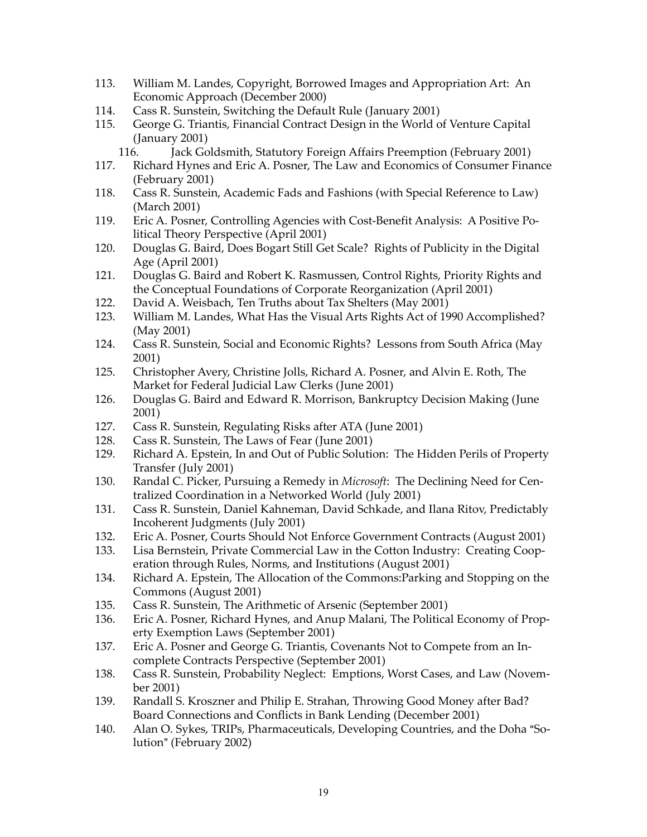- 113. William M. Landes, Copyright, Borrowed Images and Appropriation Art: An Economic Approach (December 2000)
- 114. Cass R. Sunstein, Switching the Default Rule (January 2001)
- 115. George G. Triantis, Financial Contract Design in the World of Venture Capital (January 2001)
	- 116. Jack Goldsmith, Statutory Foreign Affairs Preemption (February 2001)
- 117. Richard Hynes and Eric A. Posner, The Law and Economics of Consumer Finance (February 2001)
- 118. Cass R. Sunstein, Academic Fads and Fashions (with Special Reference to Law) (March 2001)
- 119. Eric A. Posner, Controlling Agencies with Cost-Benefit Analysis: A Positive Political Theory Perspective (April 2001)
- 120. Douglas G. Baird, Does Bogart Still Get Scale? Rights of Publicity in the Digital Age (April 2001)
- 121. Douglas G. Baird and Robert K. Rasmussen, Control Rights, Priority Rights and the Conceptual Foundations of Corporate Reorganization (April 2001)
- 122. David A. Weisbach, Ten Truths about Tax Shelters (May 2001)
- 123. William M. Landes, What Has the Visual Arts Rights Act of 1990 Accomplished? (May 2001)
- 124. Cass R. Sunstein, Social and Economic Rights? Lessons from South Africa (May 2001)
- 125. Christopher Avery, Christine Jolls, Richard A. Posner, and Alvin E. Roth, The Market for Federal Judicial Law Clerks (June 2001)
- 126. Douglas G. Baird and Edward R. Morrison, Bankruptcy Decision Making (June 2001)
- 127. Cass R. Sunstein, Regulating Risks after ATA (June 2001)
- 128. Cass R. Sunstein, The Laws of Fear (June 2001)
- 129. Richard A. Epstein, In and Out of Public Solution: The Hidden Perils of Property Transfer (July 2001)
- 130. Randal C. Picker, Pursuing a Remedy in *Microsoft*: The Declining Need for Centralized Coordination in a Networked World (July 2001)
- 131. Cass R. Sunstein, Daniel Kahneman, David Schkade, and Ilana Ritov, Predictably Incoherent Judgments (July 2001)
- 132. Eric A. Posner, Courts Should Not Enforce Government Contracts (August 2001)
- 133. Lisa Bernstein, Private Commercial Law in the Cotton Industry: Creating Cooperation through Rules, Norms, and Institutions (August 2001)
- 134. Richard A. Epstein, The Allocation of the Commons:Parking and Stopping on the Commons (August 2001)
- 135. Cass R. Sunstein, The Arithmetic of Arsenic (September 2001)
- 136. Eric A. Posner, Richard Hynes, and Anup Malani, The Political Economy of Property Exemption Laws (September 2001)
- 137. Eric A. Posner and George G. Triantis, Covenants Not to Compete from an Incomplete Contracts Perspective (September 2001)
- 138. Cass R. Sunstein, Probability Neglect: Emptions, Worst Cases, and Law (November 2001)
- 139. Randall S. Kroszner and Philip E. Strahan, Throwing Good Money after Bad? Board Connections and Conflicts in Bank Lending (December 2001)
- 140. Alan O. Sykes, TRIPs, Pharmaceuticals, Developing Countries, and the Doha "Solution" (February 2002)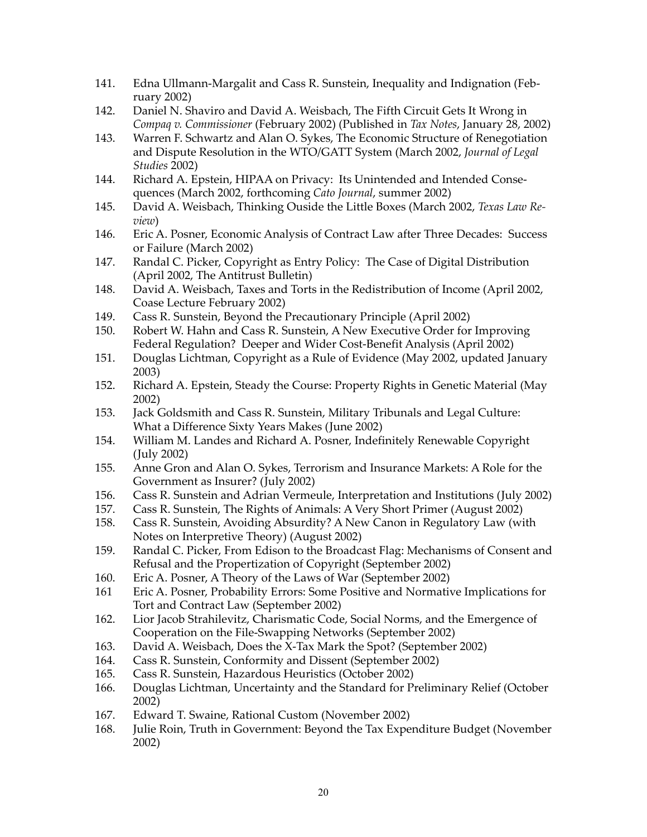- 141. Edna Ullmann-Margalit and Cass R. Sunstein, Inequality and Indignation (February 2002)
- 142. Daniel N. Shaviro and David A. Weisbach, The Fifth Circuit Gets It Wrong in *Compaq v. Commissioner* (February 2002) (Published in *Tax Notes*, January 28, 2002)
- 143. Warren F. Schwartz and Alan O. Sykes, The Economic Structure of Renegotiation and Dispute Resolution in the WTO/GATT System (March 2002, *Journal of Legal Studies* 2002)
- 144. Richard A. Epstein, HIPAA on Privacy: Its Unintended and Intended Consequences (March 2002, forthcoming *Cato Journal*, summer 2002)
- 145. David A. Weisbach, Thinking Ouside the Little Boxes (March 2002, *Texas Law Review*)
- 146. Eric A. Posner, Economic Analysis of Contract Law after Three Decades: Success or Failure (March 2002)
- 147. Randal C. Picker, Copyright as Entry Policy: The Case of Digital Distribution (April 2002, The Antitrust Bulletin)
- 148. David A. Weisbach, Taxes and Torts in the Redistribution of Income (April 2002, Coase Lecture February 2002)
- 149. Cass R. Sunstein, Beyond the Precautionary Principle (April 2002)
- 150. Robert W. Hahn and Cass R. Sunstein, A New Executive Order for Improving Federal Regulation? Deeper and Wider Cost-Benefit Analysis (April 2002)
- 151. Douglas Lichtman, Copyright as a Rule of Evidence (May 2002, updated January 2003)
- 152. Richard A. Epstein, Steady the Course: Property Rights in Genetic Material (May 2002)
- 153. Jack Goldsmith and Cass R. Sunstein, Military Tribunals and Legal Culture: What a Difference Sixty Years Makes (June 2002)
- 154. William M. Landes and Richard A. Posner, Indefinitely Renewable Copyright (July 2002)
- 155. Anne Gron and Alan O. Sykes, Terrorism and Insurance Markets: A Role for the Government as Insurer? (July 2002)
- 156. Cass R. Sunstein and Adrian Vermeule, Interpretation and Institutions (July 2002)
- 157. Cass R. Sunstein, The Rights of Animals: A Very Short Primer (August 2002)<br>158. Cass R. Sunstein, Avoiding Absurdity? A New Canon in Regulatory Law (wi
- Cass R. Sunstein, Avoiding Absurdity? A New Canon in Regulatory Law (with Notes on Interpretive Theory) (August 2002)
- 159. Randal C. Picker, From Edison to the Broadcast Flag: Mechanisms of Consent and Refusal and the Propertization of Copyright (September 2002)
- 160. Eric A. Posner, A Theory of the Laws of War (September 2002)
- 161 Eric A. Posner, Probability Errors: Some Positive and Normative Implications for Tort and Contract Law (September 2002)
- 162. Lior Jacob Strahilevitz, Charismatic Code, Social Norms, and the Emergence of Cooperation on the File-Swapping Networks (September 2002)
- 163. David A. Weisbach, Does the X-Tax Mark the Spot? (September 2002)
- 164. Cass R. Sunstein, Conformity and Dissent (September 2002)
- 165. Cass R. Sunstein, Hazardous Heuristics (October 2002)
- 166. Douglas Lichtman, Uncertainty and the Standard for Preliminary Relief (October 2002)
- 167. Edward T. Swaine, Rational Custom (November 2002)
- 168. Julie Roin, Truth in Government: Beyond the Tax Expenditure Budget (November 2002)